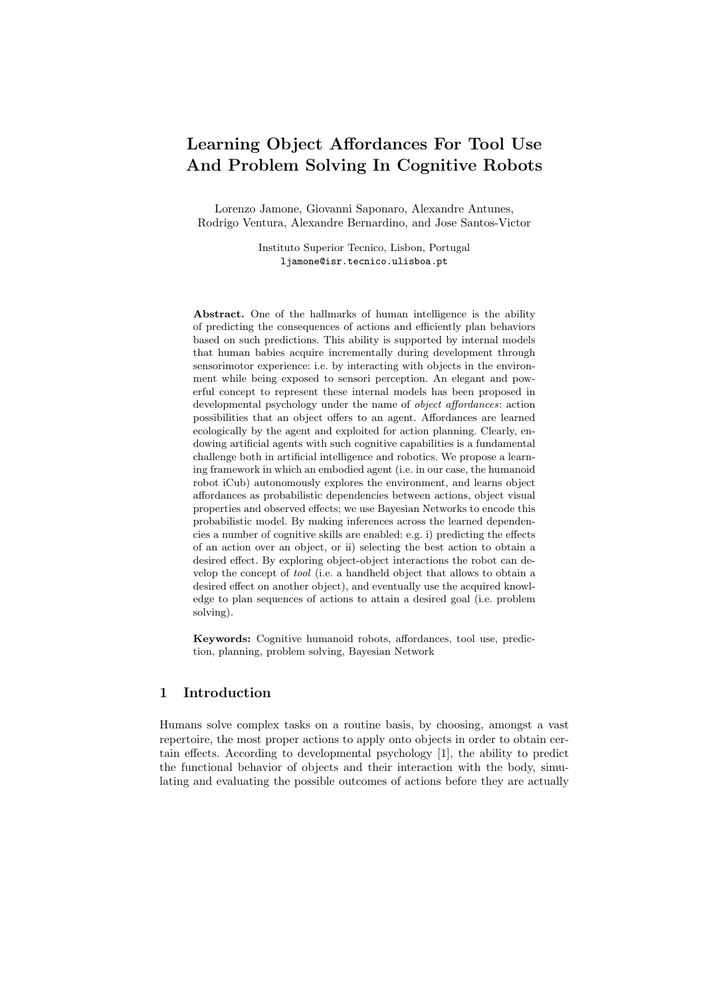# Learning Object Affordances For Tool Use And Problem Solving In Cognitive Robots

Lorenzo Jamone, Giovanni Saponaro, Alexandre Antunes, Rodrigo Ventura, Alexandre Bernardino, and Jose Santos-Victor

> Instituto Superior Tecnico, Lisbon, Portugal ljamone@isr.tecnico.ulisboa.pt

Abstract. One of the hallmarks of human intelligence is the ability of predicting the consequences of actions and efficiently plan behaviors based on such predictions. This ability is supported by internal models that human babies acquire incrementally during development through sensorimotor experience: i.e. by interacting with objects in the environment while being exposed to sensori perception. An elegant and powerful concept to represent these internal models has been proposed in developmental psychology under the name of *object affordances*: action possibilities that an object offers to an agent. Affordances are learned ecologically by the agent and exploited for action planning. Clearly, endowing artificial agents with such cognitive capabilities is a fundamental challenge both in artificial intelligence and robotics. We propose a learning framework in which an embodied agent (i.e. in our case, the humanoid robot iCub) autonomously explores the environment, and learns object affordances as probabilistic dependencies between actions, object visual properties and observed effects; we use Bayesian Networks to encode this probabilistic model. By making inferences across the learned dependencies a number of cognitive skills are enabled: e.g. i) predicting the effects of an action over an object, or ii) selecting the best action to obtain a desired effect. By exploring object-object interactions the robot can develop the concept of tool (i.e. a handheld object that allows to obtain a desired effect on another object), and eventually use the acquired knowledge to plan sequences of actions to attain a desired goal (i.e. problem solving).

Keywords: Cognitive humanoid robots, affordances, tool use, prediction, planning, problem solving, Bayesian Network

# 1 Introduction

Humans solve complex tasks on a routine basis, by choosing, amongst a vast repertoire, the most proper actions to apply onto objects in order to obtain certain effects. According to developmental psychology [1], the ability to predict the functional behavior of objects and their interaction with the body, simulating and evaluating the possible outcomes of actions before they are actually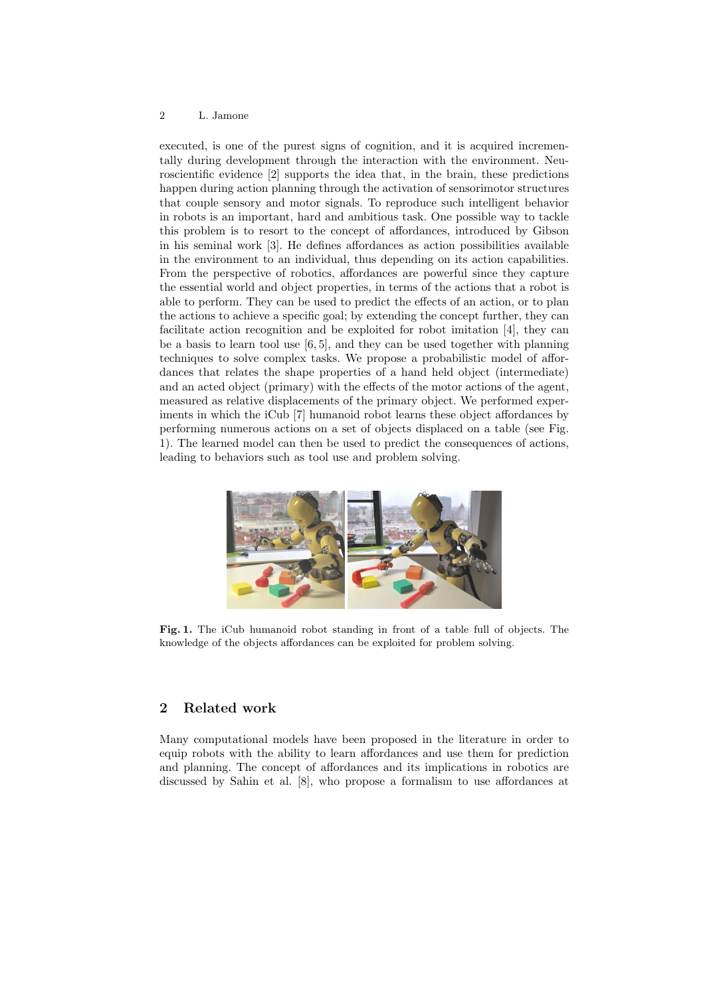#### 2 L. Jamone

executed, is one of the purest signs of cognition, and it is acquired incrementally during development through the interaction with the environment. Neuroscientific evidence [2] supports the idea that, in the brain, these predictions happen during action planning through the activation of sensorimotor structures that couple sensory and motor signals. To reproduce such intelligent behavior in robots is an important, hard and ambitious task. One possible way to tackle this problem is to resort to the concept of affordances, introduced by Gibson in his seminal work [3]. He defines affordances as action possibilities available in the environment to an individual, thus depending on its action capabilities. From the perspective of robotics, affordances are powerful since they capture the essential world and object properties, in terms of the actions that a robot is able to perform. They can be used to predict the effects of an action, or to plan the actions to achieve a specific goal; by extending the concept further, they can facilitate action recognition and be exploited for robot imitation [4], they can be a basis to learn tool use  $[6, 5]$ , and they can be used together with planning techniques to solve complex tasks. We propose a probabilistic model of affordances that relates the shape properties of a hand held object (intermediate) and an acted object (primary) with the effects of the motor actions of the agent, measured as relative displacements of the primary object. We performed experiments in which the iCub [7] humanoid robot learns these object affordances by performing numerous actions on a set of objects displaced on a table (see Fig. 1). The learned model can then be used to predict the consequences of actions, leading to behaviors such as tool use and problem solving.



Fig. 1. The iCub humanoid robot standing in front of a table full of objects. The knowledge of the objects affordances can be exploited for problem solving.

# 2 Related work

Many computational models have been proposed in the literature in order to equip robots with the ability to learn affordances and use them for prediction and planning. The concept of affordances and its implications in robotics are discussed by Sahin et al. [8], who propose a formalism to use affordances at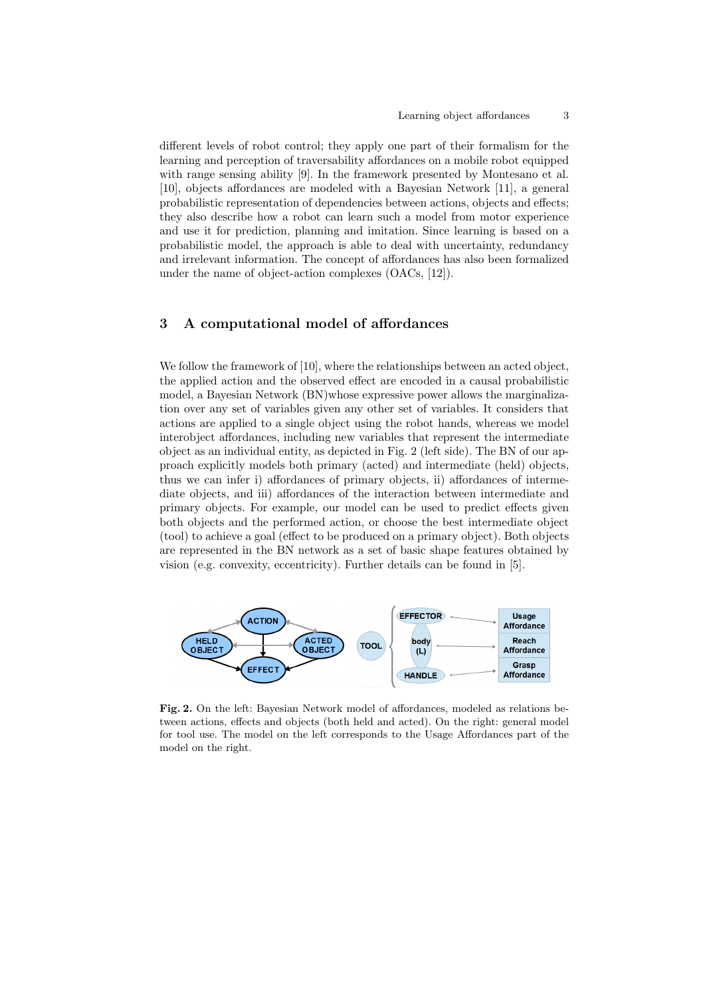different levels of robot control; they apply one part of their formalism for the learning and perception of traversability affordances on a mobile robot equipped with range sensing ability [9]. In the framework presented by Montesano et al. [10], objects affordances are modeled with a Bayesian Network [11], a general probabilistic representation of dependencies between actions, objects and effects; they also describe how a robot can learn such a model from motor experience and use it for prediction, planning and imitation. Since learning is based on a probabilistic model, the approach is able to deal with uncertainty, redundancy and irrelevant information. The concept of affordances has also been formalized under the name of object-action complexes (OACs, [12]).

# 3 A computational model of affordances

We follow the framework of [10], where the relationships between an acted object, the applied action and the observed effect are encoded in a causal probabilistic model, a Bayesian Network (BN)whose expressive power allows the marginalization over any set of variables given any other set of variables. It considers that actions are applied to a single object using the robot hands, whereas we model interobject affordances, including new variables that represent the intermediate object as an individual entity, as depicted in Fig. 2 (left side). The BN of our approach explicitly models both primary (acted) and intermediate (held) objects, thus we can infer i) affordances of primary objects, ii) affordances of intermediate objects, and iii) affordances of the interaction between intermediate and primary objects. For example, our model can be used to predict effects given both objects and the performed action, or choose the best intermediate object (tool) to achieve a goal (effect to be produced on a primary object). Both objects are represented in the BN network as a set of basic shape features obtained by vision (e.g. convexity, eccentricity). Further details can be found in [5].



Fig. 2. On the left: Bayesian Network model of affordances, modeled as relations between actions, effects and objects (both held and acted). On the right: general model for tool use. The model on the left corresponds to the Usage Affordances part of the model on the right.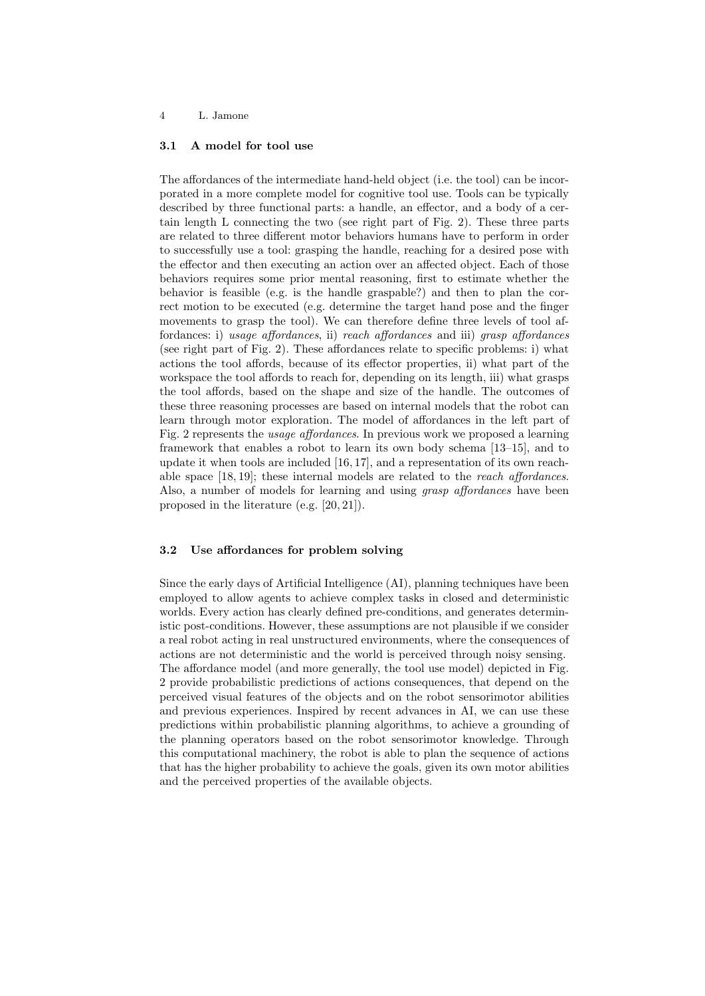#### 4 L. Jamone

### 3.1 A model for tool use

The affordances of the intermediate hand-held object (i.e. the tool) can be incorporated in a more complete model for cognitive tool use. Tools can be typically described by three functional parts: a handle, an effector, and a body of a certain length L connecting the two (see right part of Fig. 2). These three parts are related to three different motor behaviors humans have to perform in order to successfully use a tool: grasping the handle, reaching for a desired pose with the effector and then executing an action over an affected object. Each of those behaviors requires some prior mental reasoning, first to estimate whether the behavior is feasible (e.g. is the handle graspable?) and then to plan the correct motion to be executed (e.g. determine the target hand pose and the finger movements to grasp the tool). We can therefore define three levels of tool affordances: i) usage affordances, ii) reach affordances and iii) grasp affordances (see right part of Fig. 2). These affordances relate to specific problems: i) what actions the tool affords, because of its effector properties, ii) what part of the workspace the tool affords to reach for, depending on its length, iii) what grasps the tool affords, based on the shape and size of the handle. The outcomes of these three reasoning processes are based on internal models that the robot can learn through motor exploration. The model of affordances in the left part of Fig. 2 represents the usage affordances. In previous work we proposed a learning framework that enables a robot to learn its own body schema [13–15], and to update it when tools are included [16, 17], and a representation of its own reachable space  $[18, 19]$ ; these internal models are related to the *reach affordances*. Also, a number of models for learning and using *grasp affordances* have been proposed in the literature (e.g. [20, 21]).

## 3.2 Use affordances for problem solving

Since the early days of Artificial Intelligence (AI), planning techniques have been employed to allow agents to achieve complex tasks in closed and deterministic worlds. Every action has clearly defined pre-conditions, and generates deterministic post-conditions. However, these assumptions are not plausible if we consider a real robot acting in real unstructured environments, where the consequences of actions are not deterministic and the world is perceived through noisy sensing. The affordance model (and more generally, the tool use model) depicted in Fig. 2 provide probabilistic predictions of actions consequences, that depend on the perceived visual features of the objects and on the robot sensorimotor abilities and previous experiences. Inspired by recent advances in AI, we can use these predictions within probabilistic planning algorithms, to achieve a grounding of the planning operators based on the robot sensorimotor knowledge. Through this computational machinery, the robot is able to plan the sequence of actions that has the higher probability to achieve the goals, given its own motor abilities and the perceived properties of the available objects.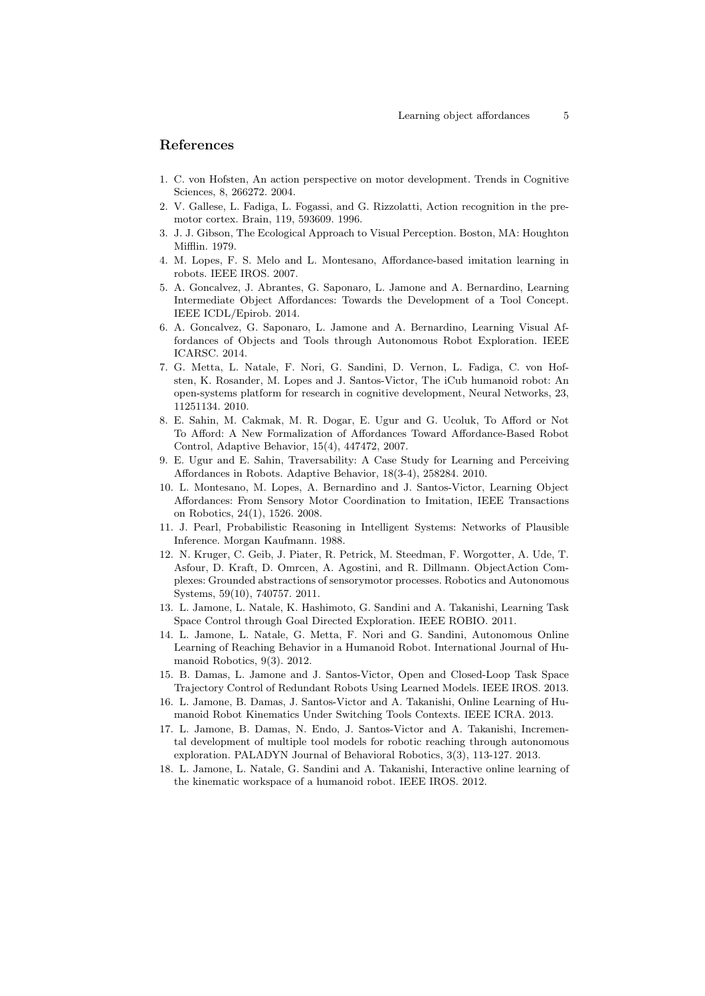### References

- 1. C. von Hofsten, An action perspective on motor development. Trends in Cognitive Sciences, 8, 266272. 2004.
- 2. V. Gallese, L. Fadiga, L. Fogassi, and G. Rizzolatti, Action recognition in the premotor cortex. Brain, 119, 593609. 1996.
- 3. J. J. Gibson, The Ecological Approach to Visual Perception. Boston, MA: Houghton Mifflin. 1979.
- 4. M. Lopes, F. S. Melo and L. Montesano, Affordance-based imitation learning in robots. IEEE IROS. 2007.
- 5. A. Goncalvez, J. Abrantes, G. Saponaro, L. Jamone and A. Bernardino, Learning Intermediate Object Affordances: Towards the Development of a Tool Concept. IEEE ICDL/Epirob. 2014.
- 6. A. Goncalvez, G. Saponaro, L. Jamone and A. Bernardino, Learning Visual Affordances of Objects and Tools through Autonomous Robot Exploration. IEEE ICARSC. 2014.
- 7. G. Metta, L. Natale, F. Nori, G. Sandini, D. Vernon, L. Fadiga, C. von Hofsten, K. Rosander, M. Lopes and J. Santos-Victor, The iCub humanoid robot: An open-systems platform for research in cognitive development, Neural Networks, 23, 11251134. 2010.
- 8. E. Sahin, M. Cakmak, M. R. Dogar, E. Ugur and G. Ucoluk, To Afford or Not To Afford: A New Formalization of Affordances Toward Affordance-Based Robot Control, Adaptive Behavior, 15(4), 447472, 2007.
- 9. E. Ugur and E. Sahin, Traversability: A Case Study for Learning and Perceiving Affordances in Robots. Adaptive Behavior, 18(3-4), 258284. 2010.
- 10. L. Montesano, M. Lopes, A. Bernardino and J. Santos-Victor, Learning Object Affordances: From Sensory Motor Coordination to Imitation, IEEE Transactions on Robotics, 24(1), 1526. 2008.
- 11. J. Pearl, Probabilistic Reasoning in Intelligent Systems: Networks of Plausible Inference. Morgan Kaufmann. 1988.
- 12. N. Kruger, C. Geib, J. Piater, R. Petrick, M. Steedman, F. Worgotter, A. Ude, T. Asfour, D. Kraft, D. Omrcen, A. Agostini, and R. Dillmann. ObjectAction Complexes: Grounded abstractions of sensorymotor processes. Robotics and Autonomous Systems, 59(10), 740757. 2011.
- 13. L. Jamone, L. Natale, K. Hashimoto, G. Sandini and A. Takanishi, Learning Task Space Control through Goal Directed Exploration. IEEE ROBIO. 2011.
- 14. L. Jamone, L. Natale, G. Metta, F. Nori and G. Sandini, Autonomous Online Learning of Reaching Behavior in a Humanoid Robot. International Journal of Humanoid Robotics, 9(3). 2012.
- 15. B. Damas, L. Jamone and J. Santos-Victor, Open and Closed-Loop Task Space Trajectory Control of Redundant Robots Using Learned Models. IEEE IROS. 2013.
- 16. L. Jamone, B. Damas, J. Santos-Victor and A. Takanishi, Online Learning of Humanoid Robot Kinematics Under Switching Tools Contexts. IEEE ICRA. 2013.
- 17. L. Jamone, B. Damas, N. Endo, J. Santos-Victor and A. Takanishi, Incremental development of multiple tool models for robotic reaching through autonomous exploration. PALADYN Journal of Behavioral Robotics, 3(3), 113-127. 2013.
- 18. L. Jamone, L. Natale, G. Sandini and A. Takanishi, Interactive online learning of the kinematic workspace of a humanoid robot. IEEE IROS. 2012.